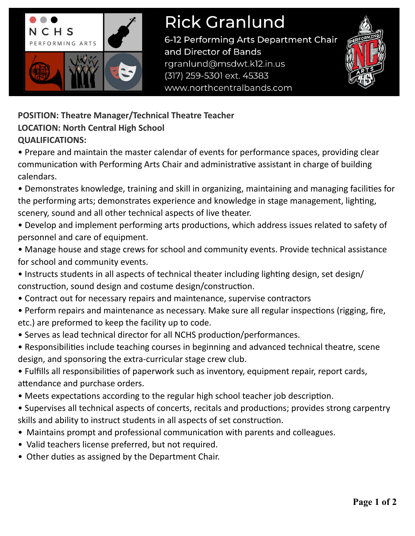

## **Rick Granlund**

6-12 Performing Arts Department Chair and Director of Bands rgranlund@msdwt.k12.in.us (317) 259-5301 ext. 45383 www.northcentralbands.com



**POSITION: Theatre Manager/Technical Theatre Teacher LOCATION: North Central High School QUALIFICATIONS:**

• Prepare and maintain the master calendar of events for performance spaces, providing clear communication with Performing Arts Chair and administrative assistant in charge of building calendars.

• Demonstrates knowledge, training and skill in organizing, maintaining and managing facilities for the performing arts; demonstrates experience and knowledge in stage management, lighting, scenery, sound and all other technical aspects of live theater.

- Develop and implement performing arts productions, which address issues related to safety of personnel and care of equipment.
- Manage house and stage crews for school and community events. Provide technical assistance for school and community events.
- Instructs students in all aspects of technical theater including lighting design, set design/ construction, sound design and costume design/construction.
- Contract out for necessary repairs and maintenance, supervise contractors
- Perform repairs and maintenance as necessary. Make sure all regular inspections (rigging, fire, etc.) are preformed to keep the facility up to code.
- Serves as lead technical director for all NCHS production/performances.
- Responsibilities include teaching courses in beginning and advanced technical theatre, scene design, and sponsoring the extra-curricular stage crew club.
- Fulfills all responsibilities of paperwork such as inventory, equipment repair, report cards, attendance and purchase orders.
- Meets expectations according to the regular high school teacher job description.
- Supervises all technical aspects of concerts, recitals and productions; provides strong carpentry skills and ability to instruct students in all aspects of set construction.
- Maintains prompt and professional communication with parents and colleagues.
- Valid teachers license preferred, but not required.
- Other duties as assigned by the Department Chair.